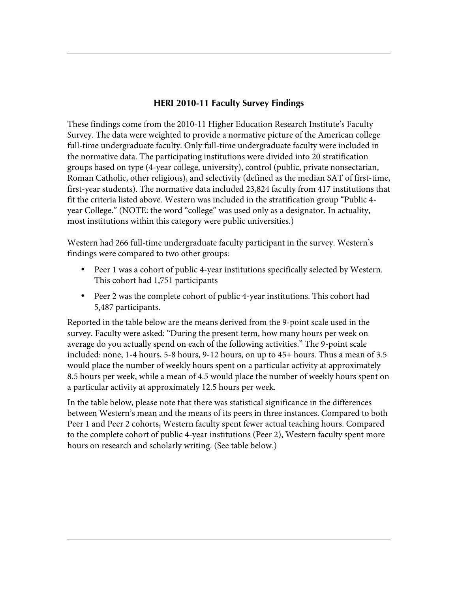## **HERI 2010-11 Faculty Survey Findings**

These findings come from the 2010-11 Higher Education Research Institute's Faculty Survey. The data were weighted to provide a normative picture of the American college full-time undergraduate faculty. Only full-time undergraduate faculty were included in the normative data. The participating institutions were divided into 20 stratification groups based on type (4-year college, university), control (public, private nonsectarian, Roman Catholic, other religious), and selectivity (defined as the median SAT of first-time, first-year students). The normative data included 23,824 faculty from 417 institutions that fit the criteria listed above. Western was included in the stratification group "Public 4 year College." (NOTE: the word "college" was used only as a designator. In actuality, most institutions within this category were public universities.)

 Western had 266 full-time undergraduate faculty participant in the survey. Western's findings were compared to two other groups:

- Peer 1 was a cohort of public 4-year institutions specifically selected by Western. This cohort had 1,751 participants
- Peer 2 was the complete cohort of public 4-year institutions. This cohort had 5,487 participants.

Reported in the table below are the means derived from the 9-point scale used in the survey. Faculty were asked: "During the present term, how many hours per week on average do you actually spend on each of the following activities." The 9-point scale included: none, 1-4 hours, 5-8 hours, 9-12 hours, on up to 45+ hours. Thus a mean of 3.5 would place the number of weekly hours spent on a particular activity at approximately 8.5 hours per week, while a mean of 4.5 would place the number of weekly hours spent on a particular activity at approximately 12.5 hours per week.

 hours on research and scholarly writing. (See table below.) In the table below, please note that there was statistical significance in the differences between Western's mean and the means of its peers in three instances. Compared to both Peer 1 and Peer 2 cohorts, Western faculty spent fewer actual teaching hours. Compared to the complete cohort of public 4-year institutions (Peer 2), Western faculty spent more